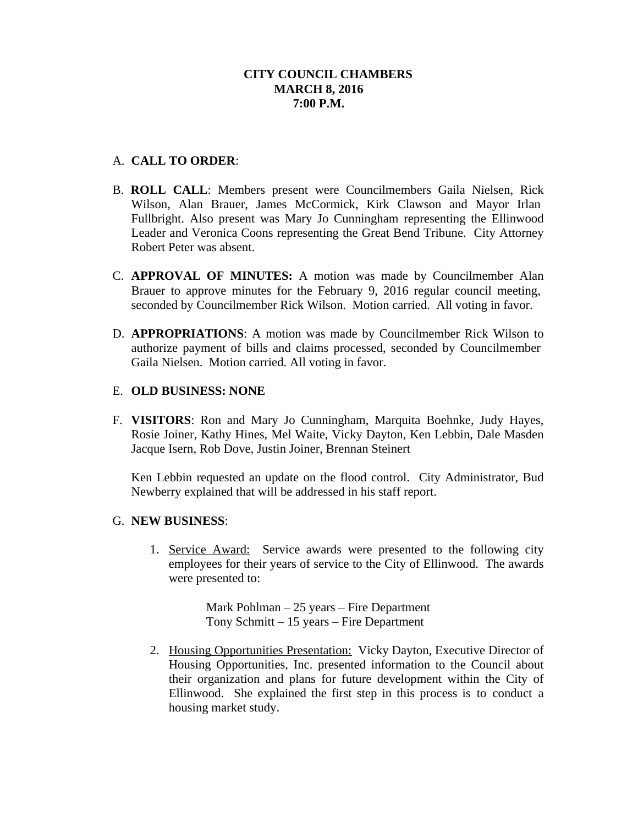# A. **CALL TO ORDER**:

- B. **ROLL CALL**: Members present were Councilmembers Gaila Nielsen, Rick Wilson, Alan Brauer, James McCormick, Kirk Clawson and Mayor Irlan Fullbright. Also present was Mary Jo Cunningham representing the Ellinwood Leader and Veronica Coons representing the Great Bend Tribune. City Attorney Robert Peter was absent.
- C. **APPROVAL OF MINUTES:** A motion was made by Councilmember Alan Brauer to approve minutes for the February 9, 2016 regular council meeting, seconded by Councilmember Rick Wilson. Motion carried. All voting in favor.
- D. **APPROPRIATIONS**: A motion was made by Councilmember Rick Wilson to authorize payment of bills and claims processed, seconded by Councilmember Gaila Nielsen. Motion carried. All voting in favor.

## E. **OLD BUSINESS: NONE**

F. **VISITORS**: Ron and Mary Jo Cunningham, Marquita Boehnke, Judy Hayes, Rosie Joiner, Kathy Hines, Mel Waite, Vicky Dayton, Ken Lebbin, Dale Masden Jacque Isern, Rob Dove, Justin Joiner, Brennan Steinert

Ken Lebbin requested an update on the flood control. City Administrator, Bud Newberry explained that will be addressed in his staff report.

## G. **NEW BUSINESS**:

1. Service Award: Service awards were presented to the following city employees for their years of service to the City of Ellinwood. The awards were presented to:

> Mark Pohlman – 25 years – Fire Department Tony Schmitt – 15 years – Fire Department

2. Housing Opportunities Presentation: Vicky Dayton, Executive Director of Housing Opportunities, Inc. presented information to the Council about their organization and plans for future development within the City of Ellinwood. She explained the first step in this process is to conduct a housing market study.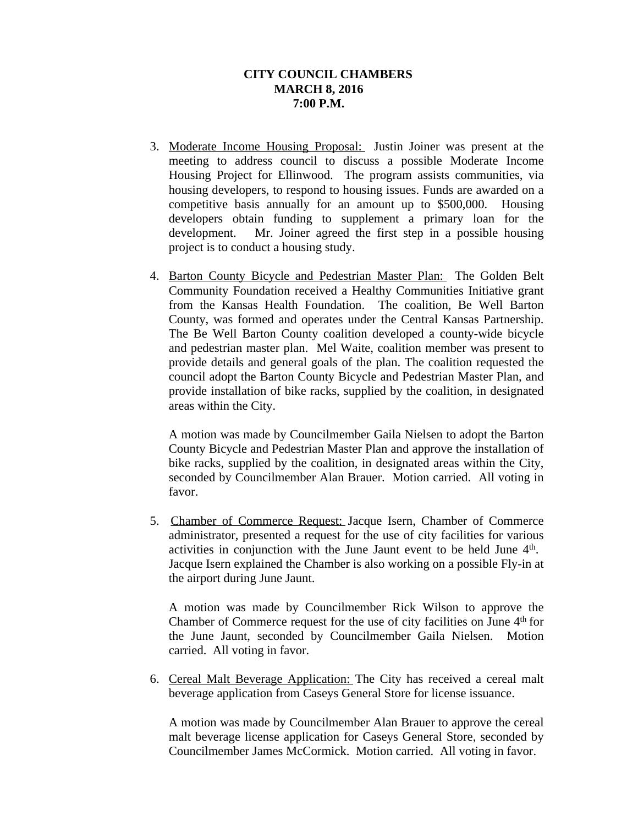- 3. Moderate Income Housing Proposal: Justin Joiner was present at the meeting to address council to discuss a possible Moderate Income Housing Project for Ellinwood. The program assists communities, via housing developers, to respond to housing issues. Funds are awarded on a competitive basis annually for an amount up to \$500,000. Housing developers obtain funding to supplement a primary loan for the development. Mr. Joiner agreed the first step in a possible housing project is to conduct a housing study.
- 4. Barton County Bicycle and Pedestrian Master Plan: The Golden Belt Community Foundation received a Healthy Communities Initiative grant from the Kansas Health Foundation. The coalition, Be Well Barton County, was formed and operates under the Central Kansas Partnership. The Be Well Barton County coalition developed a county-wide bicycle and pedestrian master plan. Mel Waite, coalition member was present to provide details and general goals of the plan. The coalition requested the council adopt the Barton County Bicycle and Pedestrian Master Plan, and provide installation of bike racks, supplied by the coalition, in designated areas within the City.

A motion was made by Councilmember Gaila Nielsen to adopt the Barton County Bicycle and Pedestrian Master Plan and approve the installation of bike racks, supplied by the coalition, in designated areas within the City, seconded by Councilmember Alan Brauer. Motion carried. All voting in favor.

5. Chamber of Commerce Request: Jacque Isern, Chamber of Commerce administrator, presented a request for the use of city facilities for various activities in conjunction with the June Jaunt event to be held June 4<sup>th</sup>. Jacque Isern explained the Chamber is also working on a possible Fly-in at the airport during June Jaunt.

A motion was made by Councilmember Rick Wilson to approve the Chamber of Commerce request for the use of city facilities on June 4<sup>th</sup> for the June Jaunt, seconded by Councilmember Gaila Nielsen. Motion carried. All voting in favor.

6. Cereal Malt Beverage Application: The City has received a cereal malt beverage application from Caseys General Store for license issuance.

A motion was made by Councilmember Alan Brauer to approve the cereal malt beverage license application for Caseys General Store, seconded by Councilmember James McCormick. Motion carried. All voting in favor.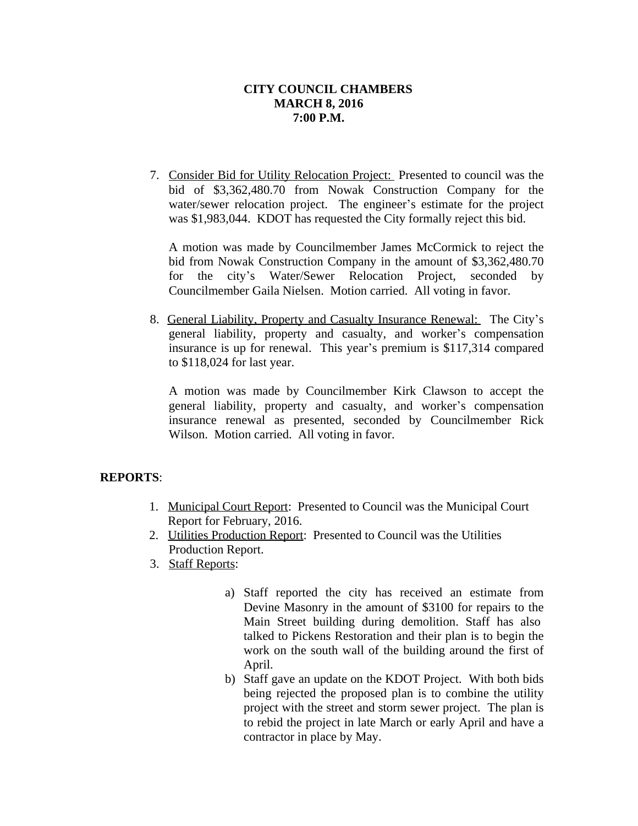7. Consider Bid for Utility Relocation Project: Presented to council was the bid of \$3,362,480.70 from Nowak Construction Company for the water/sewer relocation project. The engineer's estimate for the project was \$1,983,044. KDOT has requested the City formally reject this bid.

A motion was made by Councilmember James McCormick to reject the bid from Nowak Construction Company in the amount of \$3,362,480.70 for the city's Water/Sewer Relocation Project, seconded by Councilmember Gaila Nielsen. Motion carried. All voting in favor.

8. General Liability, Property and Casualty Insurance Renewal: The City's general liability, property and casualty, and worker's compensation insurance is up for renewal. This year's premium is \$117,314 compared to \$118,024 for last year.

A motion was made by Councilmember Kirk Clawson to accept the general liability, property and casualty, and worker's compensation insurance renewal as presented, seconded by Councilmember Rick Wilson. Motion carried. All voting in favor.

## **REPORTS**:

- 1. Municipal Court Report: Presented to Council was the Municipal Court Report for February, 2016.
- 2. Utilities Production Report: Presented to Council was the Utilities Production Report.
- 3. Staff Reports:
	- a) Staff reported the city has received an estimate from Devine Masonry in the amount of \$3100 for repairs to the Main Street building during demolition. Staff has also talked to Pickens Restoration and their plan is to begin the work on the south wall of the building around the first of April.
	- b) Staff gave an update on the KDOT Project. With both bids being rejected the proposed plan is to combine the utility project with the street and storm sewer project. The plan is to rebid the project in late March or early April and have a contractor in place by May.